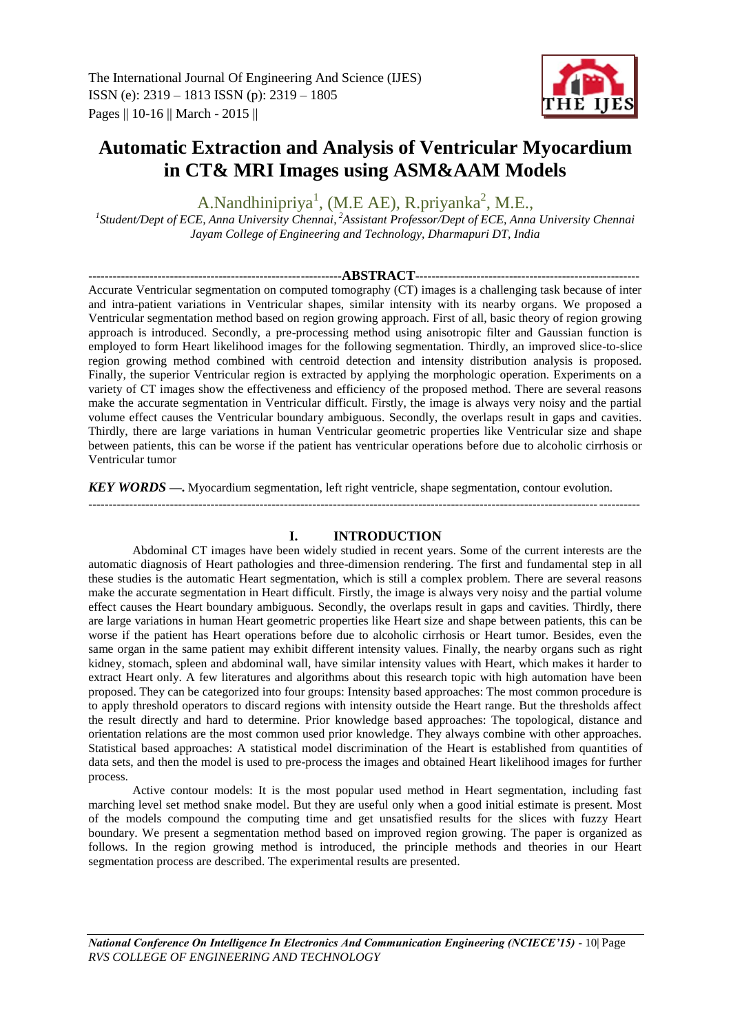

# **Automatic Extraction and Analysis of Ventricular Myocardium in CT& MRI Images using ASM&AAM Models**

A.Nandhinipriya<sup>1</sup>, (M.E AE), R.priyanka<sup>2</sup>, M.E.,

*1 Student/Dept of ECE, Anna University Chennai*, *<sup>2</sup>Assistant Professor/Dept of ECE, Anna University Chennai Jayam College of Engineering and Technology, Dharmapuri DT, India*

## --------------------------------------------------------------**ABSTRACT**-------------------------------------------------------

Accurate Ventricular segmentation on computed tomography (CT) images is a challenging task because of inter and intra-patient variations in Ventricular shapes, similar intensity with its nearby organs. We proposed a Ventricular segmentation method based on region growing approach. First of all, basic theory of region growing approach is introduced. Secondly, a pre-processing method using anisotropic filter and Gaussian function is employed to form Heart likelihood images for the following segmentation. Thirdly, an improved slice-to-slice region growing method combined with centroid detection and intensity distribution analysis is proposed. Finally, the superior Ventricular region is extracted by applying the morphologic operation. Experiments on a variety of CT images show the effectiveness and efficiency of the proposed method. There are several reasons make the accurate segmentation in Ventricular difficult. Firstly, the image is always very noisy and the partial volume effect causes the Ventricular boundary ambiguous. Secondly, the overlaps result in gaps and cavities. Thirdly, there are large variations in human Ventricular geometric properties like Ventricular size and shape between patients, this can be worse if the patient has ventricular operations before due to alcoholic cirrhosis or Ventricular tumor

*KEY WORDS —***.** Myocardium segmentation, left right ventricle, shape segmentation, contour evolution.

---------------------------------------------------------------------------------------------------------------------------------------

# **I. INTRODUCTION**

Abdominal CT images have been widely studied in recent years. Some of the current interests are the automatic diagnosis of Heart pathologies and three-dimension rendering. The first and fundamental step in all these studies is the automatic Heart segmentation, which is still a complex problem. There are several reasons make the accurate segmentation in Heart difficult. Firstly, the image is always very noisy and the partial volume effect causes the Heart boundary ambiguous. Secondly, the overlaps result in gaps and cavities. Thirdly, there are large variations in human Heart geometric properties like Heart size and shape between patients, this can be worse if the patient has Heart operations before due to alcoholic cirrhosis or Heart tumor. Besides, even the same organ in the same patient may exhibit different intensity values. Finally, the nearby organs such as right kidney, stomach, spleen and abdominal wall, have similar intensity values with Heart, which makes it harder to extract Heart only. A few literatures and algorithms about this research topic with high automation have been proposed. They can be categorized into four groups: Intensity based approaches: The most common procedure is to apply threshold operators to discard regions with intensity outside the Heart range. But the thresholds affect the result directly and hard to determine. Prior knowledge based approaches: The topological, distance and orientation relations are the most common used prior knowledge. They always combine with other approaches. Statistical based approaches: A statistical model discrimination of the Heart is established from quantities of data sets, and then the model is used to pre-process the images and obtained Heart likelihood images for further process.

Active contour models: It is the most popular used method in Heart segmentation, including fast marching level set method snake model. But they are useful only when a good initial estimate is present. Most of the models compound the computing time and get unsatisfied results for the slices with fuzzy Heart boundary. We present a segmentation method based on improved region growing. The paper is organized as follows. In the region growing method is introduced, the principle methods and theories in our Heart segmentation process are described. The experimental results are presented.

*National Conference On Intelligence In Electronics And Communication Engineering (NCIECE'15) -* 10| Page *RVS COLLEGE OF ENGINEERING AND TECHNOLOGY*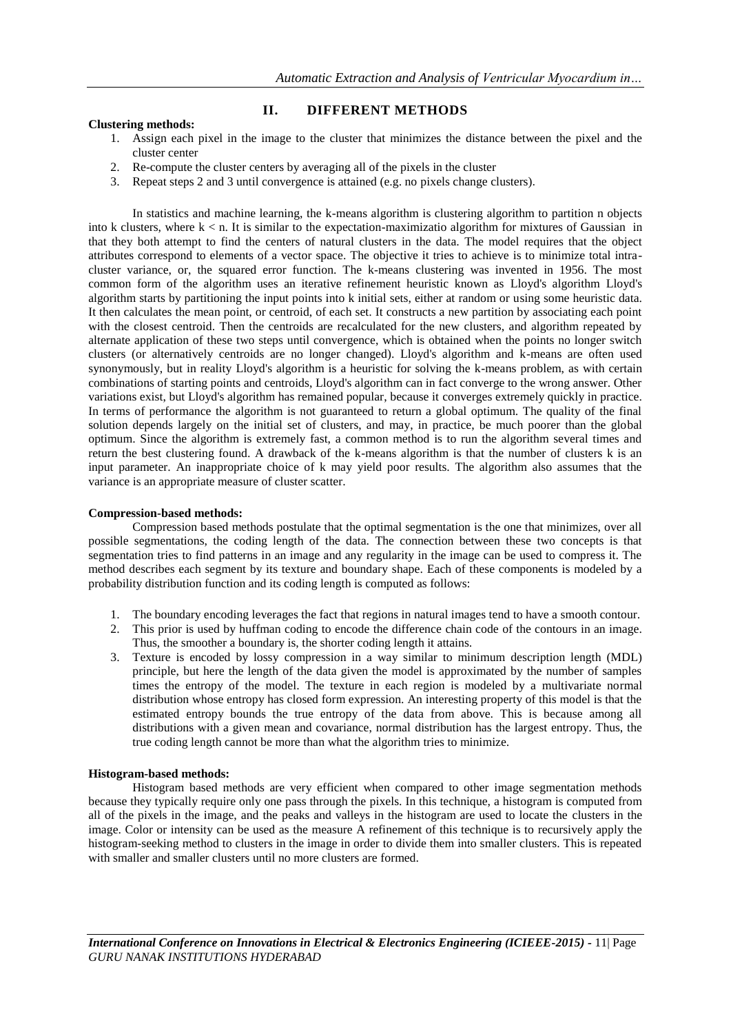# **Clustering methods:**

# **II. DIFFERENT METHODS**

- 1. Assign each pixel in the image to the cluster that minimizes the distance between the pixel and the cluster center
- 2. Re-compute the cluster centers by averaging all of the pixels in the cluster
- 3. Repeat steps 2 and 3 until convergence is attained (e.g. no pixels change clusters).

In statistics and machine learning, the k-means algorithm is clustering algorithm to partition n objects into k clusters, where  $k < n$ . It is similar to the expectation-maximizatio algorithm for mixtures of Gaussian in that they both attempt to find the centers of natural clusters in the data. The model requires that the object attributes correspond to elements of a vector space. The objective it tries to achieve is to minimize total intracluster variance, or, the squared error function. The k-means clustering was invented in 1956. The most common form of the algorithm uses an iterative refinement heuristic known as Lloyd's algorithm Lloyd's algorithm starts by partitioning the input points into k initial sets, either at random or using some heuristic data. It then calculates the mean point, or centroid, of each set. It constructs a new partition by associating each point with the closest centroid. Then the centroids are recalculated for the new clusters, and algorithm repeated by alternate application of these two steps until convergence, which is obtained when the points no longer switch clusters (or alternatively centroids are no longer changed). Lloyd's algorithm and k-means are often used synonymously, but in reality Lloyd's algorithm is a heuristic for solving the k-means problem, as with certain combinations of starting points and centroids, Lloyd's algorithm can in fact converge to the wrong answer. Other variations exist, but Lloyd's algorithm has remained popular, because it converges extremely quickly in practice. In terms of performance the algorithm is not guaranteed to return a global optimum. The quality of the final solution depends largely on the initial set of clusters, and may, in practice, be much poorer than the global optimum. Since the algorithm is extremely fast, a common method is to run the algorithm several times and return the best clustering found. A drawback of the k-means algorithm is that the number of clusters k is an input parameter. An inappropriate choice of k may yield poor results. The algorithm also assumes that the variance is an appropriate measure of cluster scatter.

## **Compression-based methods:**

Compression based methods postulate that the optimal segmentation is the one that minimizes, over all possible segmentations, the coding length of the data. The connection between these two concepts is that segmentation tries to find patterns in an image and any regularity in the image can be used to compress it. The method describes each segment by its texture and boundary shape. Each of these components is modeled by a probability distribution function and its coding length is computed as follows:

- 1. The boundary encoding leverages the fact that regions in natural images tend to have a smooth contour.
- 2. This prior is used by huffman coding to encode the difference chain code of the contours in an image. Thus, the smoother a boundary is, the shorter coding length it attains.
- 3. Texture is encoded by lossy compression in a way similar to minimum description length (MDL) principle, but here the length of the data given the model is approximated by the number of samples times the entropy of the model. The texture in each region is modeled by a multivariate normal distribution whose entropy has closed form expression. An interesting property of this model is that the estimated entropy bounds the true entropy of the data from above. This is because among all distributions with a given mean and covariance, normal distribution has the largest entropy. Thus, the true coding length cannot be more than what the algorithm tries to minimize.

## **Histogram-based methods:**

Histogram based methods are very efficient when compared to other image segmentation methods because they typically require only one pass through the pixels. In this technique, a histogram is computed from all of the pixels in the image, and the peaks and valleys in the histogram are used to locate the clusters in the image. Color or intensity can be used as the measure A refinement of this technique is to recursively apply the histogram-seeking method to clusters in the image in order to divide them into smaller clusters. This is repeated with smaller and smaller clusters until no more clusters are formed.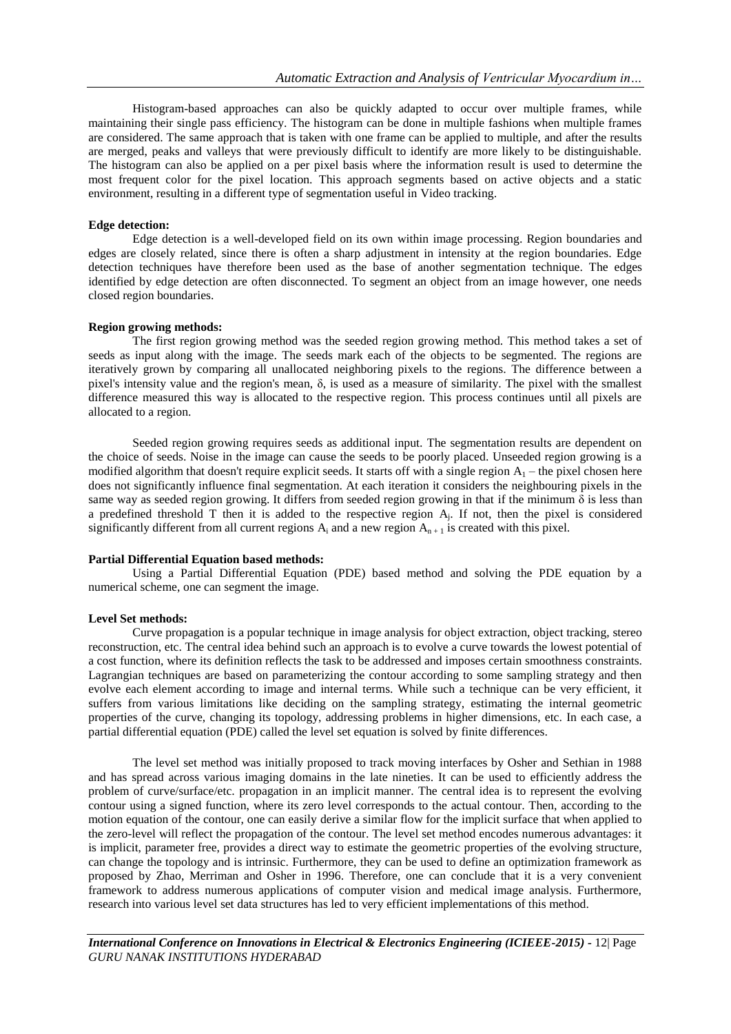Histogram-based approaches can also be quickly adapted to occur over multiple frames, while maintaining their single pass efficiency. The histogram can be done in multiple fashions when multiple frames are considered. The same approach that is taken with one frame can be applied to multiple, and after the results are merged, peaks and valleys that were previously difficult to identify are more likely to be distinguishable. The histogram can also be applied on a per pixel basis where the information result is used to determine the most frequent color for the pixel location. This approach segments based on active objects and a static environment, resulting in a different type of segmentation useful in Video tracking.

# **Edge detection:**

Edge detection is a well-developed field on its own within image processing. Region boundaries and edges are closely related, since there is often a sharp adjustment in intensity at the region boundaries. Edge detection techniques have therefore been used as the base of another segmentation technique. The edges identified by edge detection are often disconnected. To segment an object from an image however, one needs closed region boundaries.

#### **Region growing methods:**

The first region growing method was the seeded region growing method. This method takes a set of seeds as input along with the image. The seeds mark each of the objects to be segmented. The regions are iteratively grown by comparing all unallocated neighboring pixels to the regions. The difference between a pixel's intensity value and the region's mean,  $\delta$ , is used as a measure of similarity. The pixel with the smallest difference measured this way is allocated to the respective region. This process continues until all pixels are allocated to a region.

Seeded region growing requires seeds as additional input. The segmentation results are dependent on the choice of seeds. Noise in the image can cause the seeds to be poorly placed. Unseeded region growing is a modified algorithm that doesn't require explicit seeds. It starts off with a single region  $A_1$  – the pixel chosen here does not significantly influence final segmentation. At each iteration it considers the neighbouring pixels in the same way as seeded region growing. It differs from seeded region growing in that if the minimum δ is less than a predefined threshold  $T$  then it is added to the respective region  $A_j$ . If not, then the pixel is considered significantly different from all current regions  $A_i$  and a new region  $A_{n+1}$  is created with this pixel.

### **Partial Differential Equation based methods:**

Using a Partial Differential Equation (PDE) based method and solving the PDE equation by a numerical scheme, one can segment the image.

#### **Level Set methods:**

Curve propagation is a popular technique in image analysis for object extraction, object tracking, stereo reconstruction, etc. The central idea behind such an approach is to evolve a curve towards the lowest potential of a cost function, where its definition reflects the task to be addressed and imposes certain smoothness constraints. Lagrangian techniques are based on parameterizing the contour according to some sampling strategy and then evolve each element according to image and internal terms. While such a technique can be very efficient, it suffers from various limitations like deciding on the sampling strategy, estimating the internal geometric properties of the curve, changing its topology, addressing problems in higher dimensions, etc. In each case, a partial differential equation (PDE) called the level set equation is solved by finite differences.

The level set method was initially proposed to track moving interfaces by Osher and Sethian in 1988 and has spread across various imaging domains in the late nineties. It can be used to efficiently address the problem of curve/surface/etc. propagation in an implicit manner. The central idea is to represent the evolving contour using a signed function, where its zero level corresponds to the actual contour. Then, according to the motion equation of the contour, one can easily derive a similar flow for the implicit surface that when applied to the zero-level will reflect the propagation of the contour. The level set method encodes numerous advantages: it is implicit, parameter free, provides a direct way to estimate the geometric properties of the evolving structure, can change the topology and is intrinsic. Furthermore, they can be used to define an optimization framework as proposed by Zhao, Merriman and Osher in 1996. Therefore, one can conclude that it is a very convenient framework to address numerous applications of computer vision and medical image analysis. Furthermore, research into various level set data structures has led to very efficient implementations of this method.

*International Conference on Innovations in Electrical & Electronics Engineering (ICIEEE-2015) -* 12| Page *GURU NANAK INSTITUTIONS HYDERABAD*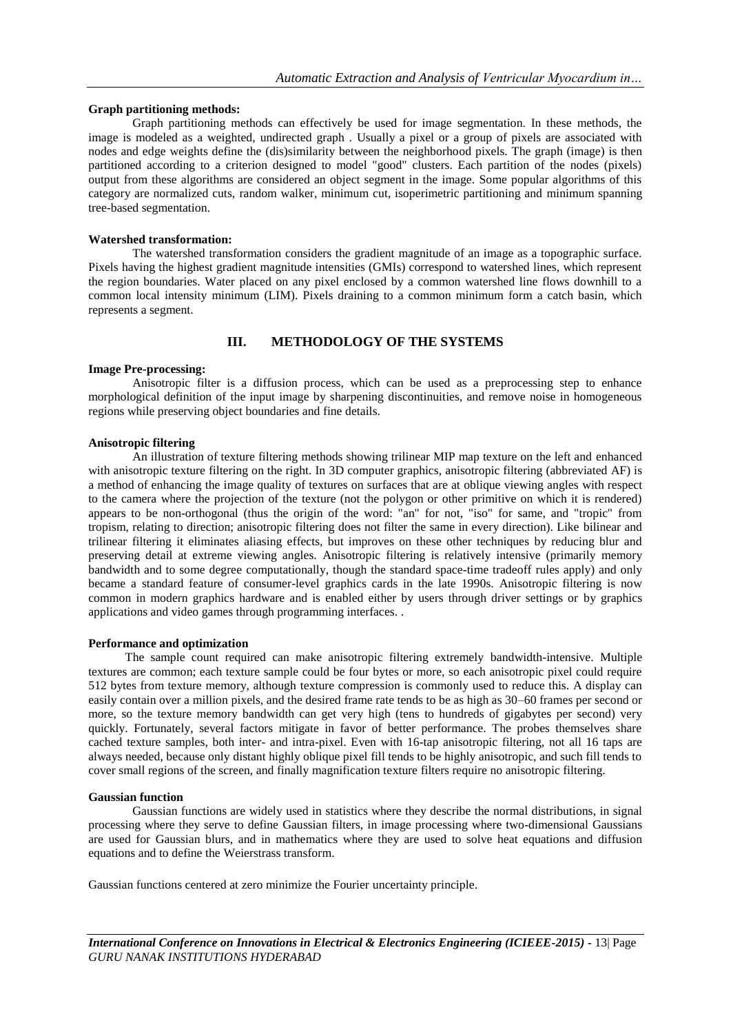## **Graph partitioning methods:**

Graph partitioning methods can effectively be used for image segmentation. In these methods, the image is modeled as a weighted, undirected graph . Usually a pixel or a group of pixels are associated with nodes and edge weights define the (dis)similarity between the neighborhood pixels. The graph (image) is then partitioned according to a criterion designed to model "good" clusters. Each partition of the nodes (pixels) output from these algorithms are considered an object segment in the image. Some popular algorithms of this category are normalized cuts, random walker, minimum cut, isoperimetric partitioning and minimum spanning tree-based segmentation.

## **Watershed transformation:**

The watershed transformation considers the gradient magnitude of an image as a topographic surface. Pixels having the highest gradient magnitude intensities (GMIs) correspond to watershed lines, which represent the region boundaries. Water placed on any pixel enclosed by a common watershed line flows downhill to a common local intensity minimum (LIM). Pixels draining to a common minimum form a catch basin, which represents a segment.

# **III. METHODOLOGY OF THE SYSTEMS**

## **Image Pre-processing:**

Anisotropic filter is a diffusion process, which can be used as a preprocessing step to enhance morphological definition of the input image by sharpening discontinuities, and remove noise in homogeneous regions while preserving object boundaries and fine details.

# **Anisotropic filtering**

An illustration of texture filtering methods showing trilinear MIP map texture on the left and enhanced with anisotropic texture filtering on the right. In [3D computer graphics,](http://en.wikipedia.org/wiki/3D_computer_graphics) anisotropic filtering (abbreviated AF) is a method of enhancing the image quality of [textures](http://en.wikipedia.org/wiki/Texture_filtering) on surfaces that are at [oblique viewing angles](http://en.wikipedia.org/wiki/Dutch_angle) with respect to the camera where the projection of the texture (not the polygon or other primitive on which it is rendered) appears to be non-orthogonal (thus the origin of the word: "an" for not, "iso" for same, and "tropic" from [tropism,](http://en.wikipedia.org/wiki/Tropism) relating to direction; anisotropic filtering does not filter the same in every direction). Like [bilinear](http://en.wikipedia.org/wiki/Bilinear_filtering) and [trilinear filtering](http://en.wikipedia.org/wiki/Trilinear_filtering) it eliminates [aliasing](http://en.wikipedia.org/wiki/Aliasing) effects, but improves on these other techniques by reducing blur and preserving detail at extreme viewing angles. [Anisotropic](http://en.wikipedia.org/wiki/Anisotropic) filtering is relatively intensive (primarily [memory](http://en.wikipedia.org/wiki/Memory_bandwidth)  [bandwidth](http://en.wikipedia.org/wiki/Memory_bandwidth) and to some degree [computationally,](http://en.wikipedia.org/wiki/Computation) though the standard [space-time tradeoff](http://en.wikipedia.org/wiki/Space-time_tradeoff) rules apply) and only became a standard feature of consumer-level [graphics cards](http://en.wikipedia.org/wiki/Graphics_card) in the late 1990s. Anisotropic filtering is now common in modern graphics hardware and is enabled either by users through driver settings or by graphics applications and video games through programming interfaces. .

## **Performance and optimization**

 The sample count required can make anisotropic filtering extremely [bandwidth-](http://en.wikipedia.org/wiki/Memory_bandwidth)intensive. Multiple textures are common; each texture sample could be four bytes or more, so each anisotropic pixel could require 512 bytes from texture memory, although [texture compression](http://en.wikipedia.org/wiki/Texture_compression) is commonly used to reduce this. A display can easily contain over a million pixels, and the desired frame rate tends to be as high as 30–60 frames per second or more, so the texture memory bandwidth can get very high (tens to hundreds of gigabytes per second) very quickly. Fortunately, several factors mitigate in favor of better performance. The probes themselves share [cached](http://en.wikipedia.org/wiki/Cache) texture samples, both inter- and intra-pixel. Even with 16-tap anisotropic filtering, not all 16 taps are always needed, because only distant highly oblique pixel fill tends to be highly anisotropic, and such fill tends to cover small regions of the screen, and finally magnification texture filters require no anisotropic filtering.

## **Gaussian function**

Gaussian functions are widely used in [statistics](http://en.wikipedia.org/wiki/Statistics) where they describe the [normal distributions,](http://en.wikipedia.org/wiki/Normal_distribution) in [signal](http://en.wikipedia.org/wiki/Signal_processing)  [processing](http://en.wikipedia.org/wiki/Signal_processing) where they serve to define [Gaussian filters,](http://en.wikipedia.org/wiki/Gaussian_filter) in [image processing](http://en.wikipedia.org/wiki/Image_processing) where two-dimensional Gaussians are used for [Gaussian blurs,](http://en.wikipedia.org/wiki/Gaussian_blur) and in [mathematics](http://en.wikipedia.org/wiki/Mathematics) where they are used to solve [heat equations](http://en.wikipedia.org/wiki/Heat_equation) and [diffusion](http://en.wikipedia.org/wiki/Diffusion_equation)  [equations](http://en.wikipedia.org/wiki/Diffusion_equation) and to define the [Weierstrass transform.](http://en.wikipedia.org/wiki/Weierstrass_transform)

Gaussian functions centered at zero minimize the Fourier [uncertainty principle.](http://en.wikipedia.org/wiki/Fourier_transform#Uncertainty_principle)

*International Conference on Innovations in Electrical & Electronics Engineering (ICIEEE-2015) -* 13| Page *GURU NANAK INSTITUTIONS HYDERABAD*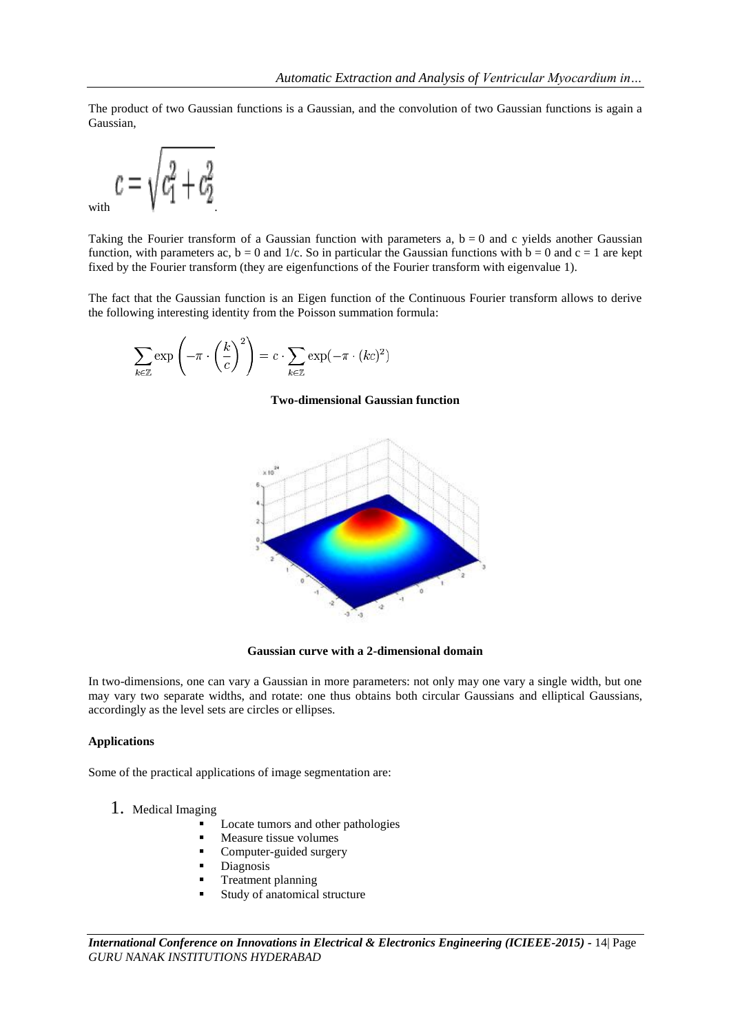The product of two Gaussian functions is a Gaussian, and the [convolution](http://en.wikipedia.org/wiki/Convolution) of two Gaussian functions is again a Gaussian,

$$
c = \sqrt{c_1^2 + c_2^2}
$$

with

Taking the [Fourier transform](http://en.wikipedia.org/wiki/Fourier_transform) of a Gaussian function with parameters a,  $b = 0$  and c yields another Gaussian function, with parameters ac,  $b = 0$  and  $1/c$ . So in particular the Gaussian functions with  $b = 0$  and  $c = 1$  are kept fixed by the Fourier transform (they are [eigenfunctions](http://en.wikipedia.org/wiki/Eigenfunction) of the Fourier transform with eigenvalue 1).

The fact that the Gaussian function is an Eigen function of the Continuous Fourier transform allows to derive the following interesting identity from the [Poisson summation formula:](http://en.wikipedia.org/wiki/Poisson_summation_formula)

$$
\sum_{k \in \mathbb{Z}} \exp\left(-\pi \cdot \left(\frac{k}{c}\right)^2\right) = c \cdot \sum_{k \in \mathbb{Z}} \exp(-\pi \cdot (kc)^2)
$$

## **Two-dimensional Gaussian function**



**Gaussian curve with a 2-dimensional domain**

In two-dimensions, one can vary a Gaussian in more parameters: not only may one vary a single width, but one may vary two separate widths, and rotate: one thus obtains both circular Gaussians and elliptical Gaussians, accordingly as the level sets are circles or ellipses.

#### **Applications**

Some of the practical applications of image segmentation are:

# 1. [Medical Imaging](http://en.wikipedia.org/wiki/Medical_Imaging)

- Locate tumors and other pathologies
- Measure tissue volumes
- Computer-guided surgery
- Diagnosis
- Treatment planning
- Study of anatomical structure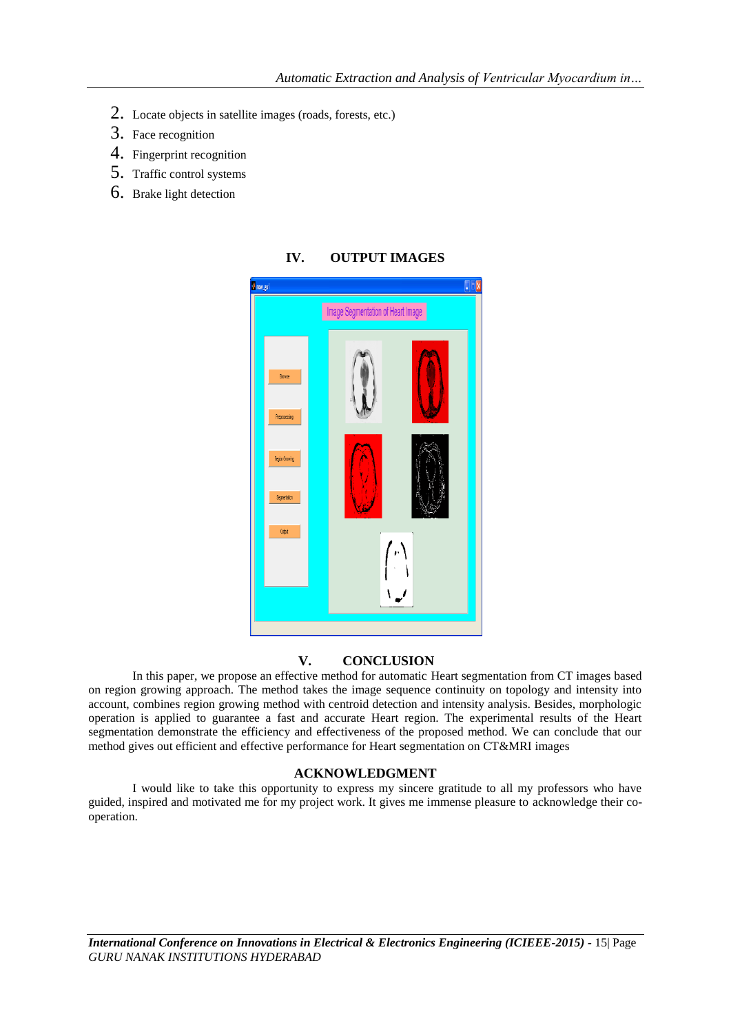- 2. Locate objects in satellite images (roads, forests, etc.)
- 3. [Face recognition](http://en.wikipedia.org/wiki/Face_recognition)
- 4. [Fingerprint recognition](http://en.wikipedia.org/wiki/Fingerprint_recognition)
- 5. [Traffic control systems](http://en.wikipedia.org/w/index.php?title=Traffic_control_systems&action=edit&redlink=1)
- 6. [Brake light detection](http://en.wikipedia.org/w/index.php?title=Brake_light_detection&action=edit&redlink=1)



## **IV. OUTPUT IMAGES**

## **V. CONCLUSION**

In this paper, we propose an effective method for automatic Heart segmentation from CT images based on region growing approach. The method takes the image sequence continuity on topology and intensity into account, combines region growing method with centroid detection and intensity analysis. Besides, morphologic operation is applied to guarantee a fast and accurate Heart region. The experimental results of the Heart segmentation demonstrate the efficiency and effectiveness of the proposed method. We can conclude that our method gives out efficient and effective performance for Heart segmentation on CT&MRI images

# **ACKNOWLEDGMENT**

I would like to take this opportunity to express my sincere gratitude to all my professors who have guided, inspired and motivated me for my project work. It gives me immense pleasure to acknowledge their cooperation.